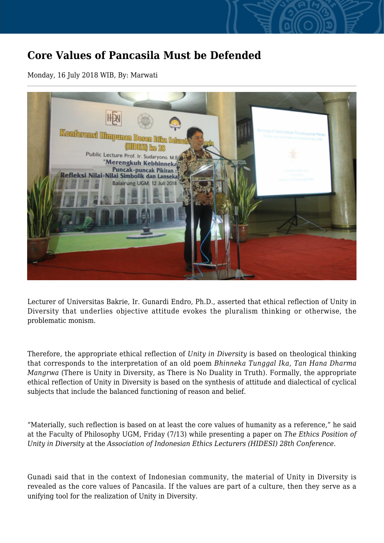## **Core Values of Pancasila Must be Defended**

Monday, 16 July 2018 WIB, By: Marwati



Lecturer of Universitas Bakrie, Ir. Gunardi Endro, Ph.D., asserted that ethical reflection of Unity in Diversity that underlies objective attitude evokes the pluralism thinking or otherwise, the problematic monism.

Therefore, the appropriate ethical reflection of *Unity in Diversity* is based on theological thinking that corresponds to the interpretation of an old poem *Bhinneka Tunggal Ika, Tan Hana Dharma Mangrwa* (There is Unity in Diversity, as There is No Duality in Truth). Formally, the appropriate ethical reflection of Unity in Diversity is based on the synthesis of attitude and dialectical of cyclical subjects that include the balanced functioning of reason and belief.

"Materially, such reflection is based on at least the core values of humanity as a reference," he said at the Faculty of Philosophy UGM, Friday (7/13) while presenting a paper on *The Ethics Position of Unity in Diversity* at the *Association of Indonesian Ethics Lecturers (HIDESI) 28th Conference.*

Gunadi said that in the context of Indonesian community, the material of Unity in Diversity is revealed as the core values of Pancasila. If the values are part of a culture, then they serve as a unifying tool for the realization of Unity in Diversity.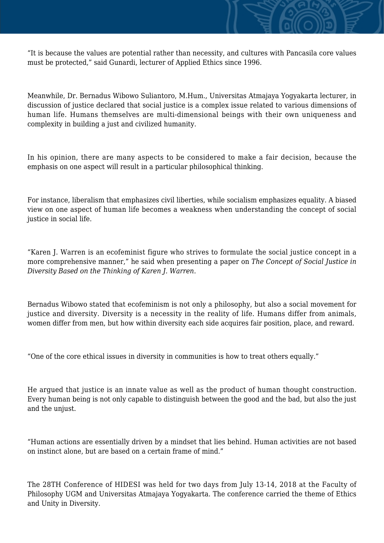

"It is because the values are potential rather than necessity, and cultures with Pancasila core values must be protected," said Gunardi, lecturer of Applied Ethics since 1996.

Meanwhile, Dr. Bernadus Wibowo Suliantoro, M.Hum., Universitas Atmajaya Yogyakarta lecturer, in discussion of justice declared that social justice is a complex issue related to various dimensions of human life. Humans themselves are multi-dimensional beings with their own uniqueness and complexity in building a just and civilized humanity.

In his opinion, there are many aspects to be considered to make a fair decision, because the emphasis on one aspect will result in a particular philosophical thinking.

For instance, liberalism that emphasizes civil liberties, while socialism emphasizes equality. A biased view on one aspect of human life becomes a weakness when understanding the concept of social justice in social life.

"Karen J. Warren is an ecofeminist figure who strives to formulate the social justice concept in a more comprehensive manner," he said when presenting a paper on *The Concept of Social Justice in Diversity Based on the Thinking of Karen J. Warren*.

Bernadus Wibowo stated that ecofeminism is not only a philosophy, but also a social movement for justice and diversity. Diversity is a necessity in the reality of life. Humans differ from animals, women differ from men, but how within diversity each side acquires fair position, place, and reward.

"One of the core ethical issues in diversity in communities is how to treat others equally."

He argued that justice is an innate value as well as the product of human thought construction. Every human being is not only capable to distinguish between the good and the bad, but also the just and the unjust.

"Human actions are essentially driven by a mindset that lies behind. Human activities are not based on instinct alone, but are based on a certain frame of mind."

The 28TH Conference of HIDESI was held for two days from July 13-14, 2018 at the Faculty of Philosophy UGM and Universitas Atmajaya Yogyakarta. The conference carried the theme of Ethics and Unity in Diversity.